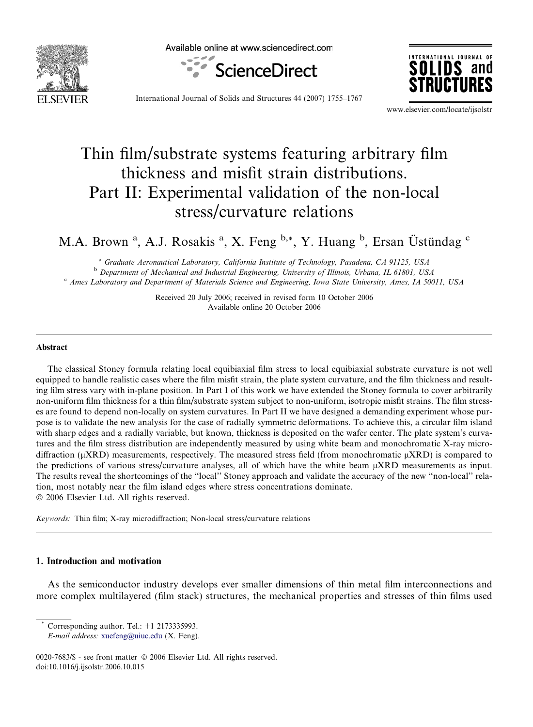

Available online at www.sciencedirect.com





International Journal of Solids and Structures 44 (2007) 1755–1767

www.elsevier.com/locate/ijsolstr

# Thin film/substrate systems featuring arbitrary film thickness and misfit strain distributions. Part II: Experimental validation of the non-local stress/curvature relations

M.A. Brown<sup>a</sup>, A.J. Rosakis<sup>a</sup>, X. Feng <sup>b,\*</sup>, Y. Huang <sup>b</sup>, Ersan Üstündag <sup>c</sup>

<sup>a</sup> Graduate Aeronautical Laboratory, California Institute of Technology, Pasadena, CA 91125, USA <sup>b</sup> Department of Mechanical and Industrial Engineering, University of Illinois, Urbana, IL 61801, USA <sup>c</sup> Ames Laboratory and Department of Materials Science and Engineering, Iowa State University, Ames, IA 50011, USA

> Received 20 July 2006; received in revised form 10 October 2006 Available online 20 October 2006

#### Abstract

The classical Stoney formula relating local equibiaxial film stress to local equibiaxial substrate curvature is not well equipped to handle realistic cases where the film misfit strain, the plate system curvature, and the film thickness and resulting film stress vary with in-plane position. In Part I of this work we have extended the Stoney formula to cover arbitrarily non-uniform film thickness for a thin film/substrate system subject to non-uniform, isotropic misfit strains. The film stresses are found to depend non-locally on system curvatures. In Part II we have designed a demanding experiment whose purpose is to validate the new analysis for the case of radially symmetric deformations. To achieve this, a circular film island with sharp edges and a radially variable, but known, thickness is deposited on the wafer center. The plate system's curvatures and the film stress distribution are independently measured by using white beam and monochromatic X-ray microdiffraction ( $\mu$ XRD) measurements, respectively. The measured stress field (from monochromatic  $\mu$ XRD) is compared to the predictions of various stress/curvature analyses, all of which have the white beam  $\mu$ XRD measurements as input. The results reveal the shortcomings of the ''local'' Stoney approach and validate the accuracy of the new ''non-local'' relation, most notably near the film island edges where stress concentrations dominate.  $© 2006 Elsevier Ltd. All rights reserved.$ 

Keywords: Thin film; X-ray microdiffraction; Non-local stress/curvature relations

# 1. Introduction and motivation

As the semiconductor industry develops ever smaller dimensions of thin metal film interconnections and more complex multilayered (film stack) structures, the mechanical properties and stresses of thin films used

Corresponding author. Tel.:  $+1$  2173335993.

E-mail address: [xuefeng@uiuc.edu](mailto:xuefeng@uiuc.edu) (X. Feng).

<sup>0020-7683/\$ -</sup> see front matter © 2006 Elsevier Ltd. All rights reserved. doi:10.1016/j.ijsolstr.2006.10.015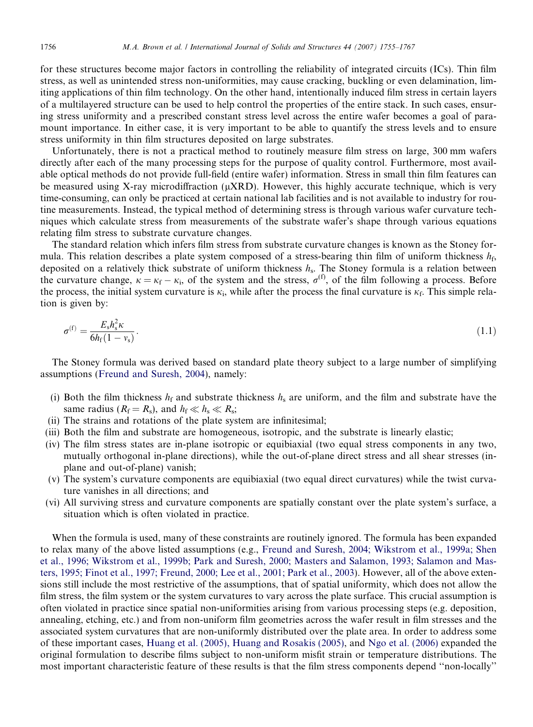<span id="page-1-0"></span>for these structures become major factors in controlling the reliability of integrated circuits (ICs). Thin film stress, as well as unintended stress non-uniformities, may cause cracking, buckling or even delamination, limiting applications of thin film technology. On the other hand, intentionally induced film stress in certain layers of a multilayered structure can be used to help control the properties of the entire stack. In such cases, ensuring stress uniformity and a prescribed constant stress level across the entire wafer becomes a goal of paramount importance. In either case, it is very important to be able to quantify the stress levels and to ensure stress uniformity in thin film structures deposited on large substrates.

Unfortunately, there is not a practical method to routinely measure film stress on large, 300 mm wafers directly after each of the many processing steps for the purpose of quality control. Furthermore, most available optical methods do not provide full-field (entire wafer) information. Stress in small thin film features can be measured using X-ray microdiffraction ( $\mu$ XRD). However, this highly accurate technique, which is very time-consuming, can only be practiced at certain national lab facilities and is not available to industry for routine measurements. Instead, the typical method of determining stress is through various wafer curvature techniques which calculate stress from measurements of the substrate wafer's shape through various equations relating film stress to substrate curvature changes.

The standard relation which infers film stress from substrate curvature changes is known as the Stoney formula. This relation describes a plate system composed of a stress-bearing thin film of uniform thickness  $h_f$ , deposited on a relatively thick substrate of uniform thickness  $h_s$ . The Stoney formula is a relation between the curvature change,  $\kappa = \kappa_f - \kappa_i$ , of the system and the stress,  $\sigma^{(f)}$ , of the film following a process. Before the process, the initial system curvature is  $\kappa_i$ , while after the process the final curvature is  $\kappa_f$ . This simple relation is given by:

$$
\sigma^{(f)} = \frac{E_s h_s^2 \kappa}{6h_f(1 - v_s)}.
$$
\n(1.1)

The Stoney formula was derived based on standard plate theory subject to a large number of simplifying assumptions ([Freund and Suresh, 2004](#page-12-0)), namely:

- (i) Both the film thickness  $h_f$  and substrate thickness  $h_s$  are uniform, and the film and substrate have the same radius ( $R_f = R_s$ ), and  $h_f \ll h_s \ll R_s$ ;
- (ii) The strains and rotations of the plate system are infinitesimal;
- (iii) Both the film and substrate are homogeneous, isotropic, and the substrate is linearly elastic;
- (iv) The film stress states are in-plane isotropic or equibiaxial (two equal stress components in any two, mutually orthogonal in-plane directions), while the out-of-plane direct stress and all shear stresses (inplane and out-of-plane) vanish;
- (v) The system's curvature components are equibiaxial (two equal direct curvatures) while the twist curvature vanishes in all directions; and
- (vi) All surviving stress and curvature components are spatially constant over the plate system's surface, a situation which is often violated in practice.

When the formula is used, many of these constraints are routinely ignored. The formula has been expanded to relax many of the above listed assumptions (e.g., [Freund and Suresh, 2004; Wikstrom et al., 1999a; Shen](#page-12-0) [et al., 1996; Wikstrom et al., 1999b; Park and Suresh, 2000; Masters and Salamon, 1993; Salamon and Mas](#page-12-0)[ters, 1995; Finot et al., 1997; Freund, 2000; Lee et al., 2001; Park et al., 2003](#page-12-0)). However, all of the above extensions still include the most restrictive of the assumptions, that of spatial uniformity, which does not allow the film stress, the film system or the system curvatures to vary across the plate surface. This crucial assumption is often violated in practice since spatial non-uniformities arising from various processing steps (e.g. deposition, annealing, etching, etc.) and from non-uniform film geometries across the wafer result in film stresses and the associated system curvatures that are non-uniformly distributed over the plate area. In order to address some of these important cases, [Huang et al. \(2005\), Huang and Rosakis \(2005\),](#page-12-0) and [Ngo et al. \(2006\)](#page-12-0) expanded the original formulation to describe films subject to non-uniform misfit strain or temperature distributions. The most important characteristic feature of these results is that the film stress components depend ''non-locally''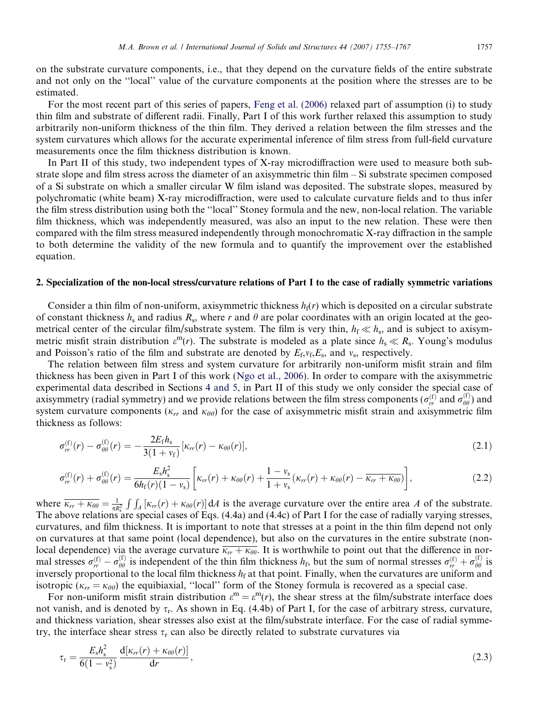<span id="page-2-0"></span>on the substrate curvature components, i.e., that they depend on the curvature fields of the entire substrate and not only on the ''local'' value of the curvature components at the position where the stresses are to be estimated.

For the most recent part of this series of papers, [Feng et al. \(2006\)](#page-12-0) relaxed part of assumption (i) to study thin film and substrate of different radii. Finally, Part I of this work further relaxed this assumption to study arbitrarily non-uniform thickness of the thin film. They derived a relation between the film stresses and the system curvatures which allows for the accurate experimental inference of film stress from full-field curvature measurements once the film thickness distribution is known.

In Part II of this study, two independent types of X-ray microdiffraction were used to measure both substrate slope and film stress across the diameter of an axisymmetric thin film – Si substrate specimen composed of a Si substrate on which a smaller circular W film island was deposited. The substrate slopes, measured by polychromatic (white beam) X-ray microdiffraction, were used to calculate curvature fields and to thus infer the film stress distribution using both the ''local'' Stoney formula and the new, non-local relation. The variable film thickness, which was independently measured, was also an input to the new relation. These were then compared with the film stress measured independently through monochromatic X-ray diffraction in the sample to both determine the validity of the new formula and to quantify the improvement over the established equation.

## 2. Specialization of the non-local stress/curvature relations of Part I to the case of radially symmetric variations

Consider a thin film of non-uniform, axisymmetric thickness  $h_f(r)$  which is deposited on a circular substrate of constant thickness  $h_s$  and radius  $R_s$ , where r and  $\theta$  are polar coordinates with an origin located at the geometrical center of the circular film/substrate system. The film is very thin,  $h_f \ll h_s$ , and is subject to axisymmetric misfit strain distribution  $\varepsilon^{m}(r)$ . The substrate is modeled as a plate since  $h_s \ll R_s$ . Young's modulus and Poisson's ratio of the film and substrate are denoted by  $E_f, v_f, E_s$ , and  $v_s$ , respectively.

The relation between film stress and system curvature for arbitrarily non-uniform misfit strain and film thickness has been given in Part I of this work ([Ngo et al., 2006\)](#page-12-0). In order to compare with the axisymmetric experimental data described in Sections [4 and 5,](#page-4-0) in Part II of this study we only consider the special case of axisymmetry (radial symmetry) and we provide relations between the film stress components ( $\sigma_{rr}^{(f)}$  and  $\sigma_{\theta\theta}^{(f)}$ ) and system curvature components ( $\kappa_{rr}$  and  $\kappa_{\theta\theta}$ ) for the case of axisymmetric misfit strain and axisymmetric film thickness as follows:

$$
\sigma_{rr}^{(\rm f)}(r) - \sigma_{\theta\theta}^{(\rm f)}(r) = -\frac{2E_{\rm f}h_{\rm s}}{3(1 + v_{\rm f})} \left[\kappa_{rr}(r) - \kappa_{\theta\theta}(r)\right],\tag{2.1}
$$

$$
\sigma_{rr}^{(\text{f})}(r) + \sigma_{\theta\theta}^{(\text{f})}(r) = \frac{E_{\text{s}}h_{\text{s}}^2}{6h_{\text{f}}(r)(1 - v_{\text{s}})} \left[\kappa_{rr}(r) + \kappa_{\theta\theta}(r) + \frac{1 - v_{\text{s}}}{1 + v_{\text{s}}}(\kappa_{rr}(r) + \kappa_{\theta\theta}(r) - \overline{\kappa_{rr} + \kappa_{\theta\theta}})\right],\tag{2.2}
$$

where  $\overline{\kappa_{rr} + \kappa_{\theta\theta}} = \frac{1}{\pi R_s^2}$ The above relations are special cases of Eqs. (4.4a) and (4.4c) of Part I for the case of radially varying stresses,  $\int \int_A [\kappa_{rr}(r) + \kappa_{\theta\theta}(r)] dA$  is the average curvature over the entire area A of the substrate. curvatures, and film thickness. It is important to note that stresses at a point in the thin film depend not only on curvatures at that same point (local dependence), but also on the curvatures in the entire substrate (nonlocal dependence) via the average curvature  $\overline{\kappa_{rr} + \kappa_{\theta\theta}}$ . It is worthwhile to point out that the difference in normal stresses  $\sigma_{rr}^{(f)} - \sigma_{\theta\theta}^{(f)}$  is independent of the thin film thickness  $h_f$ , but the sum of normal stresses  $\sigma_{rr}^{(f)} + \sigma_{\theta\theta}^{(f)}$  is inversely proportional to the local film thickness  $h_{\rm f}$  at that point. Finally, when the curvatures are uniform and isotropic ( $\kappa_{rr} = \kappa_{\theta\theta}$ ) the equibiaxial, "local" form of the Stoney formula is recovered as a special case.

For non-uniform misfit strain distribution  $\varepsilon^{m} = \varepsilon^{m}(r)$ , the shear stress at the film/substrate interface does not vanish, and is denoted by  $\tau_r$ . As shown in Eq. (4.4b) of Part I, for the case of arbitrary stress, curvature, and thickness variation, shear stresses also exist at the film/substrate interface. For the case of radial symmetry, the interface shear stress  $\tau_r$  can also be directly related to substrate curvatures via

$$
\tau_{\rm r} = \frac{E_{\rm s} h_{\rm s}^2}{6(1 - v_{\rm s}^2)} \frac{\mathrm{d}[\kappa_{rr}(r) + \kappa_{\theta\theta}(r)]}{\mathrm{d}r},\tag{2.3}
$$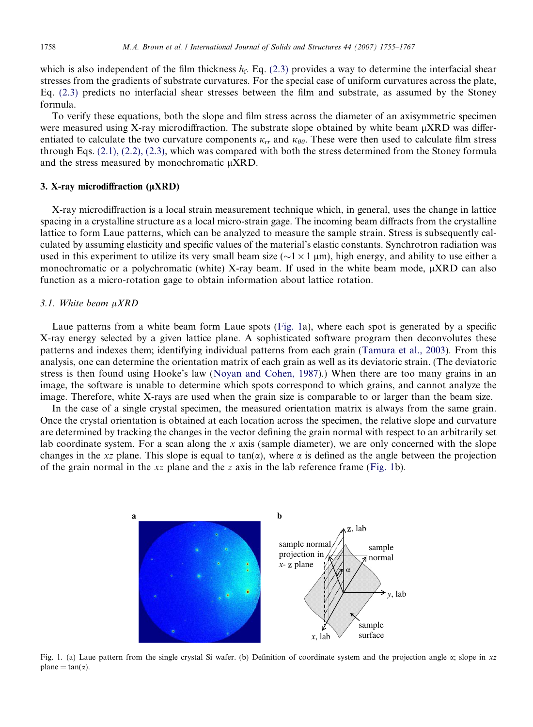<span id="page-3-0"></span>which is also independent of the film thickness  $h_f$ . Eq. [\(2.3\)](#page-2-0) provides a way to determine the interfacial shear stresses from the gradients of substrate curvatures. For the special case of uniform curvatures across the plate, Eq. [\(2.3\)](#page-2-0) predicts no interfacial shear stresses between the film and substrate, as assumed by the Stoney formula.

To verify these equations, both the slope and film stress across the diameter of an axisymmetric specimen were measured using X-ray microdiffraction. The substrate slope obtained by white beam  $\mu$ XRD was differentiated to calculate the two curvature components  $\kappa_{rr}$  and  $\kappa_{\theta\theta}$ . These were then used to calculate film stress through Eqs. [\(2.1\), \(2.2\), \(2.3\)](#page-2-0), which was compared with both the stress determined from the Stoney formula and the stress measured by monochromatic  $\mu$ XRD.

# 3. X-ray microdiffraction  $(\mu XRD)$

X-ray microdiffraction is a local strain measurement technique which, in general, uses the change in lattice spacing in a crystalline structure as a local micro-strain gage. The incoming beam diffracts from the crystalline lattice to form Laue patterns, which can be analyzed to measure the sample strain. Stress is subsequently calculated by assuming elasticity and specific values of the material's elastic constants. Synchrotron radiation was used in this experiment to utilize its very small beam size ( $\sim$ 1  $\times$ 1 µm), high energy, and ability to use either a monochromatic or a polychromatic (white) X-ray beam. If used in the white beam mode,  $\mu$ XRD can also function as a micro-rotation gage to obtain information about lattice rotation.

# $3.1.$  White beam  $\mu XRD$

Laue patterns from a white beam form Laue spots (Fig. 1a), where each spot is generated by a specific X-ray energy selected by a given lattice plane. A sophisticated software program then deconvolutes these patterns and indexes them; identifying individual patterns from each grain ([Tamura et al., 2003](#page-12-0)). From this analysis, one can determine the orientation matrix of each grain as well as its deviatoric strain. (The deviatoric stress is then found using Hooke's law ([Noyan and Cohen, 1987](#page-12-0)).) When there are too many grains in an image, the software is unable to determine which spots correspond to which grains, and cannot analyze the image. Therefore, white X-rays are used when the grain size is comparable to or larger than the beam size.

In the case of a single crystal specimen, the measured orientation matrix is always from the same grain. Once the crystal orientation is obtained at each location across the specimen, the relative slope and curvature are determined by tracking the changes in the vector defining the grain normal with respect to an arbitrarily set lab coordinate system. For a scan along the x axis (sample diameter), we are only concerned with the slope changes in the xz plane. This slope is equal to tan( $\alpha$ ), where  $\alpha$  is defined as the angle between the projection of the grain normal in the  $xz$  plane and the z axis in the lab reference frame (Fig. 1b).



Fig. 1. (a) Laue pattern from the single crystal Si wafer. (b) Definition of coordinate system and the projection angle  $\alpha$ ; slope in xz  $plane = tan(\alpha)$ .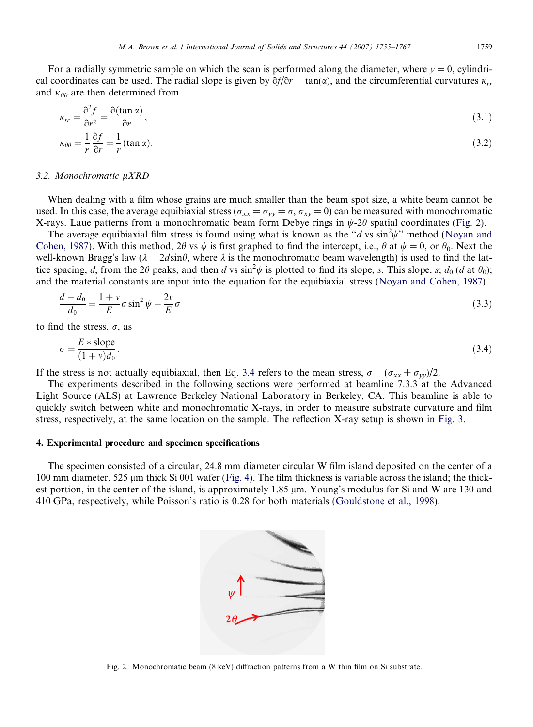<span id="page-4-0"></span>For a radially symmetric sample on which the scan is performed along the diameter, where  $y = 0$ , cylindrical coordinates can be used. The radial slope is given by  $\partial f/\partial r = \tan(\alpha)$ , and the circumferential curvatures  $\kappa_{rr}$ and  $\kappa_{\theta\theta}$  are then determined from

$$
\kappa_{rr} = \frac{\partial^2 f}{\partial r^2} = \frac{\partial (\tan \alpha)}{\partial r},\tag{3.1}
$$

$$
\kappa_{\theta\theta} = \frac{1}{r} \frac{\partial f}{\partial r} = \frac{1}{r} (\tan \alpha). \tag{3.2}
$$

#### 3.2. Monochromatic  $\mu XRD$

When dealing with a film whose grains are much smaller than the beam spot size, a white beam cannot be used. In this case, the average equibiaxial stress ( $\sigma_{xx} = \sigma_{yy} = \sigma$ ,  $\sigma_{xy} = 0$ ) can be measured with monochromatic X-rays. Laue patterns from a monochromatic beam form Debye rings in  $\psi$ -2 $\theta$  spatial coordinates (Fig. 2).

The average equibiaxial film stress is found using what is known as the "d vs  $\sin^2 \psi$ " method ([Noyan and](#page-12-0) [Cohen, 1987\)](#page-12-0). With this method, 2 $\theta$  vs  $\psi$  is first graphed to find the intercept, i.e.,  $\theta$  at  $\psi = 0$ , or  $\theta_0$ . Next the well-known Bragg's law ( $\lambda = 2d\sin\theta$ , where  $\lambda$  is the monochromatic beam wavelength) is used to find the lattice spacing, d, from the 20 peaks, and then d vs sin<sup>2</sup> $\psi$  is plotted to find its slope, s. This slope, s; d<sub>0</sub> (d at  $\theta_0$ ); and the material constants are input into the equation for the equibiaxial stress [\(Noyan and Cohen, 1987](#page-12-0))

$$
\frac{d - d_0}{d_0} = \frac{1 + v}{E} \sigma \sin^2 \psi - \frac{2v}{E} \sigma \tag{3.3}
$$

to find the stress,  $\sigma$ , as

$$
\sigma = \frac{E * \text{slope}}{(1 + v)d_0}.\tag{3.4}
$$

If the stress is not actually equibiaxial, then Eq. 3.4 refers to the mean stress,  $\sigma = (\sigma_{xx} + \sigma_{yy})/2$ .

The experiments described in the following sections were performed at beamline 7.3.3 at the Advanced Light Source (ALS) at Lawrence Berkeley National Laboratory in Berkeley, CA. This beamline is able to quickly switch between white and monochromatic X-rays, in order to measure substrate curvature and film stress, respectively, at the same location on the sample. The reflection X-ray setup is shown in [Fig. 3](#page-5-0).

#### 4. Experimental procedure and specimen specifications

The specimen consisted of a circular, 24.8 mm diameter circular W film island deposited on the center of a 100 mm diameter, 525  $\mu$ m thick Si 001 wafer [\(Fig. 4\)](#page-5-0). The film thickness is variable across the island; the thickest portion, in the center of the island, is approximately 1.85  $\mu$ m. Young's modulus for Si and W are 130 and 410 GPa, respectively, while Poisson's ratio is 0.28 for both materials ([Gouldstone et al., 1998\)](#page-12-0).



Fig. 2. Monochromatic beam (8 keV) diffraction patterns from a W thin film on Si substrate.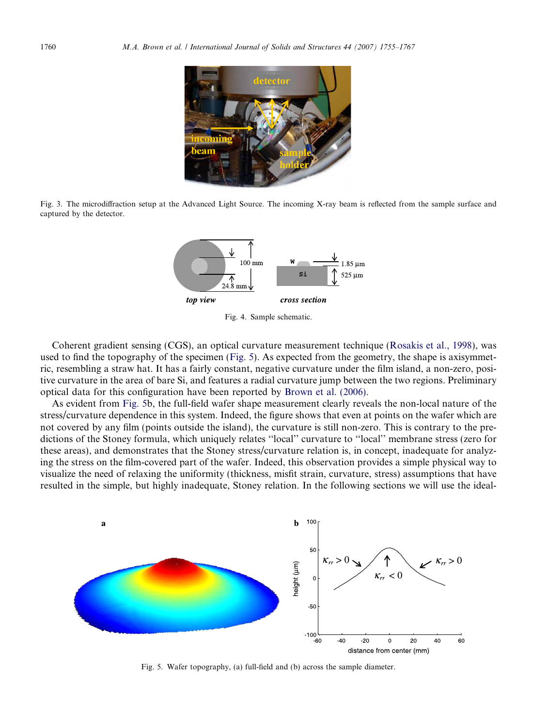<span id="page-5-0"></span>

Fig. 3. The microdiffraction setup at the Advanced Light Source. The incoming X-ray beam is reflected from the sample surface and captured by the detector.



Fig. 4. Sample schematic.

Coherent gradient sensing (CGS), an optical curvature measurement technique [\(Rosakis et al., 1998](#page-12-0)), was used to find the topography of the specimen (Fig. 5). As expected from the geometry, the shape is axisymmetric, resembling a straw hat. It has a fairly constant, negative curvature under the film island, a non-zero, positive curvature in the area of bare Si, and features a radial curvature jump between the two regions. Preliminary optical data for this configuration have been reported by [Brown et al. \(2006\)](#page-12-0).

As evident from Fig. 5b, the full-field wafer shape measurement clearly reveals the non-local nature of the stress/curvature dependence in this system. Indeed, the figure shows that even at points on the wafer which are not covered by any film (points outside the island), the curvature is still non-zero. This is contrary to the predictions of the Stoney formula, which uniquely relates ''local'' curvature to ''local'' membrane stress (zero for these areas), and demonstrates that the Stoney stress/curvature relation is, in concept, inadequate for analyzing the stress on the film-covered part of the wafer. Indeed, this observation provides a simple physical way to visualize the need of relaxing the uniformity (thickness, misfit strain, curvature, stress) assumptions that have resulted in the simple, but highly inadequate, Stoney relation. In the following sections we will use the ideal-



Fig. 5. Wafer topography, (a) full-field and (b) across the sample diameter.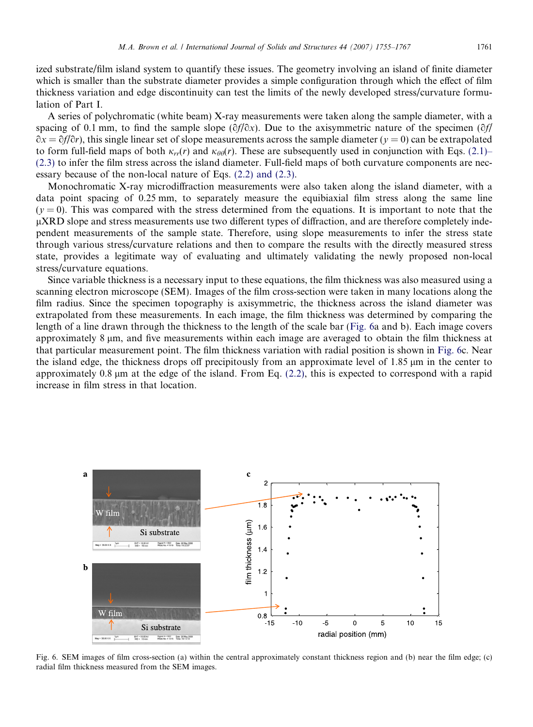<span id="page-6-0"></span>ized substrate/film island system to quantify these issues. The geometry involving an island of finite diameter which is smaller than the substrate diameter provides a simple configuration through which the effect of film thickness variation and edge discontinuity can test the limits of the newly developed stress/curvature formulation of Part I.

A series of polychromatic (white beam) X-ray measurements were taken along the sample diameter, with a spacing of 0.1 mm, to find the sample slope  $(\partial f/\partial x)$ . Due to the axisymmetric nature of the specimen  $(\partial f/\partial x)$  $\partial x = \partial f/\partial r$ , this single linear set of slope measurements across the sample diameter ( $y = 0$ ) can be extrapolated to form full-field maps of both  $\kappa_{rr}(r)$  and  $\kappa_{\theta\theta}(r)$ . These are subsequently used in conjunction with Eqs. [\(2.1\)–](#page-2-0) [\(2.3\)](#page-2-0) to infer the film stress across the island diameter. Full-field maps of both curvature components are necessary because of the non-local nature of Eqs. [\(2.2\) and \(2.3\).](#page-2-0)

Monochromatic X-ray microdiffraction measurements were also taken along the island diameter, with a data point spacing of 0.25 mm, to separately measure the equibiaxial film stress along the same line  $(y = 0)$ . This was compared with the stress determined from the equations. It is important to note that the lXRD slope and stress measurements use two different types of diffraction, and are therefore completely independent measurements of the sample state. Therefore, using slope measurements to infer the stress state through various stress/curvature relations and then to compare the results with the directly measured stress state, provides a legitimate way of evaluating and ultimately validating the newly proposed non-local stress/curvature equations.

Since variable thickness is a necessary input to these equations, the film thickness was also measured using a scanning electron microscope (SEM). Images of the film cross-section were taken in many locations along the film radius. Since the specimen topography is axisymmetric, the thickness across the island diameter was extrapolated from these measurements. In each image, the film thickness was determined by comparing the length of a line drawn through the thickness to the length of the scale bar (Fig. 6a and b). Each image covers approximately 8 lm, and five measurements within each image are averaged to obtain the film thickness at that particular measurement point. The film thickness variation with radial position is shown in Fig. 6c. Near the island edge, the thickness drops off precipitously from an approximate level of 1.85  $\mu$ m in the center to approximately 0.8 lm at the edge of the island. From Eq. [\(2.2\)](#page-2-0), this is expected to correspond with a rapid increase in film stress in that location.



Fig. 6. SEM images of film cross-section (a) within the central approximately constant thickness region and (b) near the film edge; (c) radial film thickness measured from the SEM images.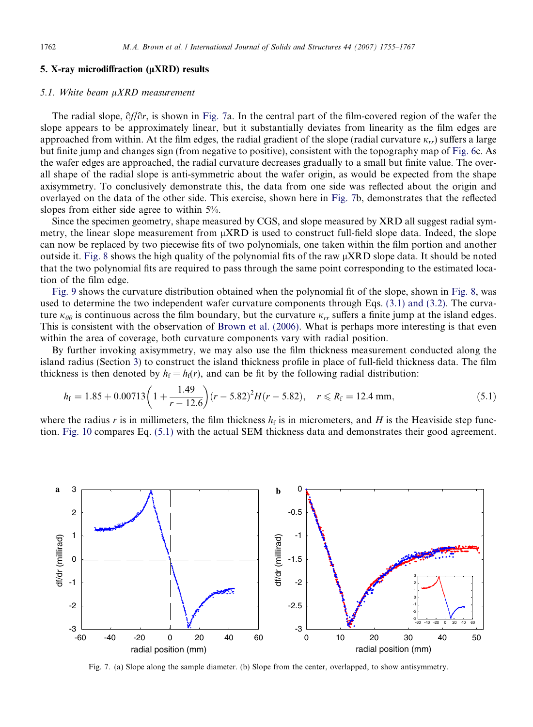## <span id="page-7-0"></span>5. X-ray microdiffraction  $(\mu XRD)$  results

## 5.1. White beam  $\mu XRD$  measurement

The radial slope,  $\partial f/\partial r$ , is shown in Fig. 7a. In the central part of the film-covered region of the wafer the slope appears to be approximately linear, but it substantially deviates from linearity as the film edges are approached from within. At the film edges, the radial gradient of the slope (radial curvature  $\kappa_{rr}$ ) suffers a large but finite jump and changes sign (from negative to positive), consistent with the topography map of [Fig. 6](#page-6-0)c. As the wafer edges are approached, the radial curvature decreases gradually to a small but finite value. The overall shape of the radial slope is anti-symmetric about the wafer origin, as would be expected from the shape axisymmetry. To conclusively demonstrate this, the data from one side was reflected about the origin and overlayed on the data of the other side. This exercise, shown here in Fig. 7b, demonstrates that the reflected slopes from either side agree to within 5%.

Since the specimen geometry, shape measured by CGS, and slope measured by XRD all suggest radial symmetry, the linear slope measurement from  $\mu$ XRD is used to construct full-field slope data. Indeed, the slope can now be replaced by two piecewise fits of two polynomials, one taken within the film portion and another outside it. [Fig. 8](#page-8-0) shows the high quality of the polynomial fits of the raw  $\mu$ XRD slope data. It should be noted that the two polynomial fits are required to pass through the same point corresponding to the estimated location of the film edge.

[Fig. 9](#page-8-0) shows the curvature distribution obtained when the polynomial fit of the slope, shown in [Fig. 8](#page-8-0), was used to determine the two independent wafer curvature components through Eqs. [\(3.1\) and \(3.2\)](#page-4-0). The curvature  $\kappa_{\theta\theta}$  is continuous across the film boundary, but the curvature  $\kappa_{rr}$  suffers a finite jump at the island edges. This is consistent with the observation of [Brown et al. \(2006\).](#page-12-0) What is perhaps more interesting is that even within the area of coverage, both curvature components vary with radial position.

By further invoking axisymmetry, we may also use the film thickness measurement conducted along the island radius (Section [3](#page-3-0)) to construct the island thickness profile in place of full-field thickness data. The film thickness is then denoted by  $h_f = h_f(r)$ , and can be fit by the following radial distribution:

$$
h_{\rm f} = 1.85 + 0.00713 \left( 1 + \frac{1.49}{r - 12.6} \right) (r - 5.82)^2 H(r - 5.82), \quad r \le R_{\rm f} = 12.4 \text{ mm}, \tag{5.1}
$$

where the radius r is in millimeters, the film thickness  $h_f$  is in micrometers, and H is the Heaviside step function. [Fig. 10](#page-8-0) compares Eq. (5.1) with the actual SEM thickness data and demonstrates their good agreement.



Fig. 7. (a) Slope along the sample diameter. (b) Slope from the center, overlapped, to show antisymmetry.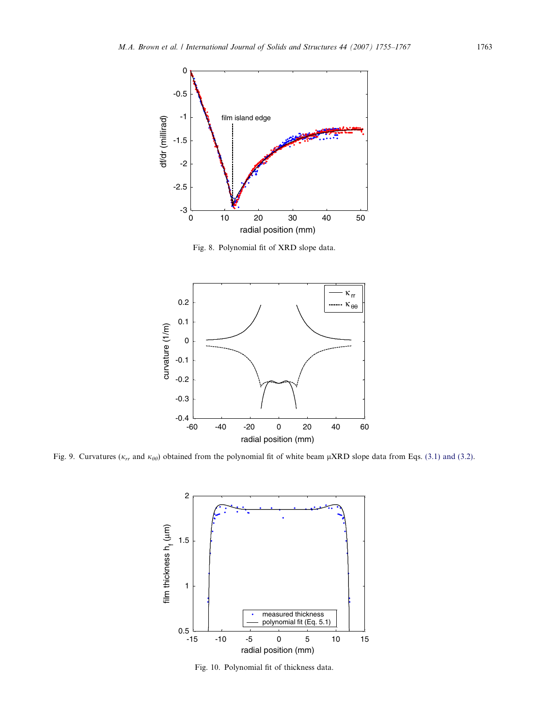<span id="page-8-0"></span>

Fig. 8. Polynomial fit of XRD slope data.



Fig. 9. Curvatures ( $\kappa_{rr}$  and  $\kappa_{\theta\theta}$ ) obtained from the polynomial fit of white beam  $\mu$ XRD slope data from Eqs. [\(3.1\) and \(3.2\)](#page-4-0).



Fig. 10. Polynomial fit of thickness data.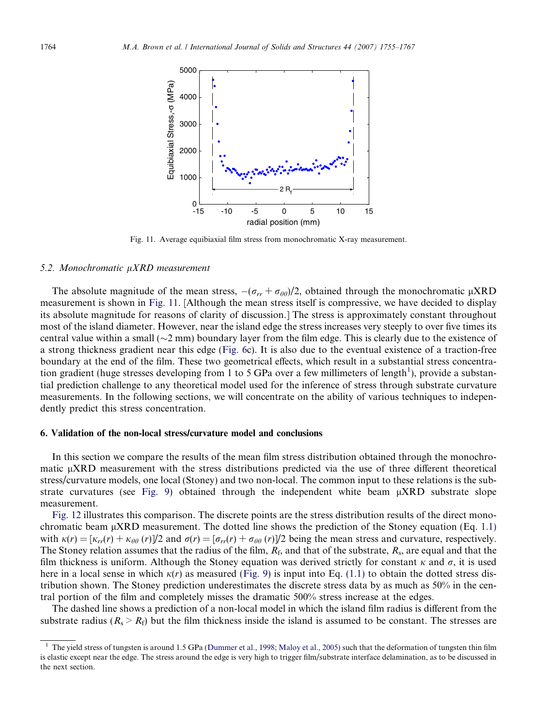

Fig. 11. Average equibiaxial film stress from monochromatic X-ray measurement.

#### 5.2. Monochromatic  $\mu XRD$  measurement

The absolute magnitude of the mean stress,  $-(\sigma_{rr} + \sigma_{\theta\theta})/2$ , obtained through the monochromatic  $\mu$ XRD measurement is shown in Fig. 11. [Although the mean stress itself is compressive, we have decided to display its absolute magnitude for reasons of clarity of discussion.] The stress is approximately constant throughout most of the island diameter. However, near the island edge the stress increases very steeply to over five times its central value within a small ( $\sim$ 2 mm) boundary layer from the film edge. This is clearly due to the existence of a strong thickness gradient near this edge [\(Fig. 6](#page-6-0)c). It is also due to the eventual existence of a traction-free boundary at the end of the film. These two geometrical effects, which result in a substantial stress concentration gradient (huge stresses developing from 1 to 5 GPa over a few millimeters of length<sup>1</sup>), provide a substantial prediction challenge to any theoretical model used for the inference of stress through substrate curvature measurements. In the following sections, we will concentrate on the ability of various techniques to independently predict this stress concentration.

#### 6. Validation of the non-local stress/curvature model and conclusions

In this section we compare the results of the mean film stress distribution obtained through the monochromatic µXRD measurement with the stress distributions predicted via the use of three different theoretical stress/curvature models, one local (Stoney) and two non-local. The common input to these relations is the sub-strate curvatures (see [Fig. 9](#page-8-0)) obtained through the independent white beam  $\mu$ XRD substrate slope measurement.

[Fig. 12](#page-10-0) illustrates this comparison. The discrete points are the stress distribution results of the direct monochromatic beam  $\mu$ XRD measurement. The dotted line shows the prediction of the Stoney equation (Eq. [1.1\)](#page-1-0) with  $\kappa(r)=[\kappa_{rr}(r) + \kappa_{\theta\theta}(r)]/2$  and  $\sigma(r)=[\sigma_{rr}(r) + \sigma_{\theta\theta}(r)]/2$  being the mean stress and curvature, respectively. The Stoney relation assumes that the radius of the film,  $R_f$ , and that of the substrate,  $R_s$ , are equal and that the film thickness is uniform. Although the Stoney equation was derived strictly for constant  $\kappa$  and  $\sigma$ , it is used here in a local sense in which  $\kappa(r)$  as measured [\(Fig. 9\)](#page-8-0) is input into Eq. [\(1.1\)](#page-1-0) to obtain the dotted stress distribution shown. The Stoney prediction underestimates the discrete stress data by as much as 50% in the central portion of the film and completely misses the dramatic 500% stress increase at the edges.

The dashed line shows a prediction of a non-local model in which the island film radius is different from the substrate radius ( $R_s > R_f$ ) but the film thickness inside the island is assumed to be constant. The stresses are

<sup>1</sup> The yield stress of tungsten is around 1.5 GPa ([Dummer et al., 1998; Maloy et al., 2005](#page-12-0)) such that the deformation of tungsten thin film is elastic except near the edge. The stress around the edge is very high to trigger film/substrate interface delamination, as to be discussed in the next section.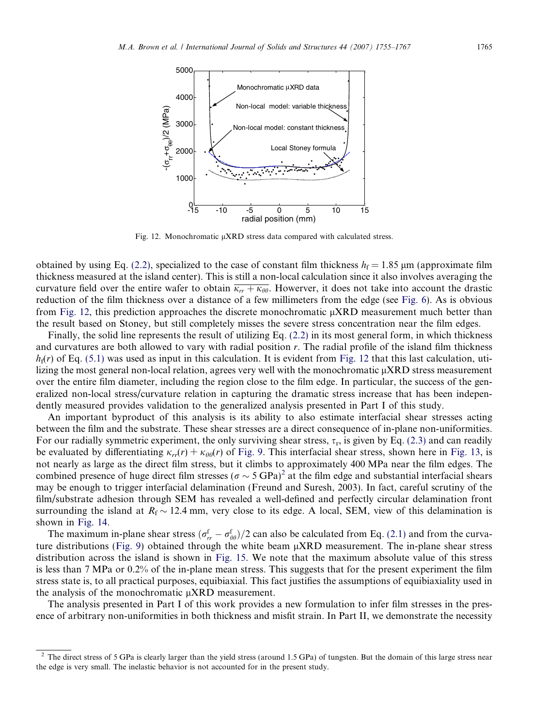<span id="page-10-0"></span>

Fig. 12. Monochromatic  $\mu$ XRD stress data compared with calculated stress.

obtained by using Eq. [\(2.2\),](#page-2-0) specialized to the case of constant film thickness  $h_f = 1.85 \,\mu m$  (approximate film thickness measured at the island center). This is still a non-local calculation since it also involves averaging the curvature field over the entire wafer to obtain  $\overline{\kappa_{rr} + \kappa_{\theta\theta}}$ . Howerver, it does not take into account the drastic reduction of the film thickness over a distance of a few millimeters from the edge (see [Fig. 6\)](#page-6-0). As is obvious from Fig. 12, this prediction approaches the discrete monochromatic  $\mu$ XRD measurement much better than the result based on Stoney, but still completely misses the severe stress concentration near the film edges.

Finally, the solid line represents the result of utilizing Eq. [\(2.2\)](#page-2-0) in its most general form, in which thickness and curvatures are both allowed to vary with radial position r. The radial profile of the island film thickness  $h_f(r)$  of Eq. [\(5.1\)](#page-7-0) was used as input in this calculation. It is evident from Fig. 12 that this last calculation, utilizing the most general non-local relation, agrees very well with the monochromatic  $\mu$ XRD stress measurement over the entire film diameter, including the region close to the film edge. In particular, the success of the generalized non-local stress/curvature relation in capturing the dramatic stress increase that has been independently measured provides validation to the generalized analysis presented in Part I of this study.

An important byproduct of this analysis is its ability to also estimate interfacial shear stresses acting between the film and the substrate. These shear stresses are a direct consequence of in-plane non-uniformities. For our radially symmetric experiment, the only surviving shear stress,  $\tau_r$ , is given by Eq. [\(2.3\)](#page-2-0) and can readily be evaluated by differentiating  $\kappa_{rr}(r) + \kappa_{\theta\theta}(r)$  of [Fig. 9](#page-8-0). This interfacial shear stress, shown here in [Fig. 13,](#page-11-0) is not nearly as large as the direct film stress, but it climbs to approximately 400 MPa near the film edges. The combined presence of huge direct film stresses ( $\sigma \sim 5 \text{ GPa}^2$ ) at the film edge and substantial interfacial shears may be enough to trigger interfacial delamination (Freund and Suresh, 2003). In fact, careful scrutiny of the film/substrate adhesion through SEM has revealed a well-defined and perfectly circular delamination front surrounding the island at  $R_f \sim 12.4$  mm, very close to its edge. A local, SEM, view of this delamination is shown in [Fig. 14.](#page-11-0)

The maximum in-plane shear stress  $(\sigma_r^f - \sigma_{\theta\theta}^f)/2$  can also be calculated from Eq. [\(2.1\)](#page-2-0) and from the curva-ture distributions [\(Fig. 9\)](#page-8-0) obtained through the white beam  $\mu$ XRD measurement. The in-plane shear stress distribution across the island is shown in [Fig. 15](#page-11-0). We note that the maximum absolute value of this stress is less than 7 MPa or 0.2% of the in-plane mean stress. This suggests that for the present experiment the film stress state is, to all practical purposes, equibiaxial. This fact justifies the assumptions of equibiaxiality used in the analysis of the monochromatic  $\mu$ XRD measurement.

The analysis presented in Part I of this work provides a new formulation to infer film stresses in the presence of arbitrary non-uniformities in both thickness and misfit strain. In Part II, we demonstrate the necessity

<sup>&</sup>lt;sup>2</sup> The direct stress of 5 GPa is clearly larger than the yield stress (around 1.5 GPa) of tungsten. But the domain of this large stress near the edge is very small. The inelastic behavior is not accounted for in the present study.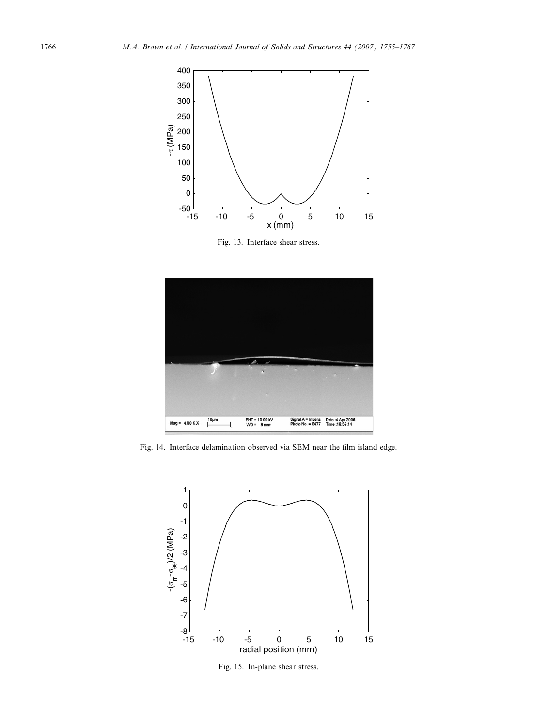<span id="page-11-0"></span>

Fig. 13. Interface shear stress.



Fig. 14. Interface delamination observed via SEM near the film island edge.



Fig. 15. In-plane shear stress.